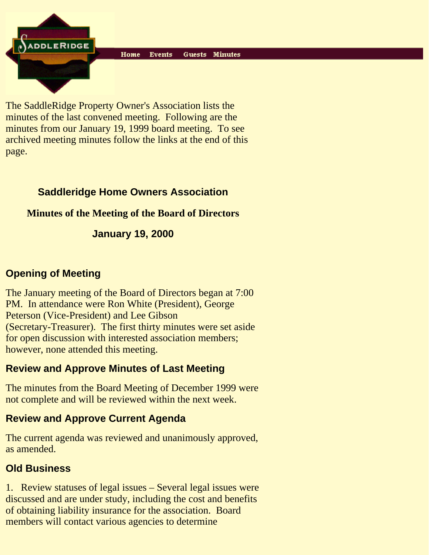**ADDLERIDGE** 

The SaddleRidge Property Owner's Association lists the minutes of the last convened meeting. Following are the minutes from our January 19, 1999 board meeting. To see archived meeting minutes follow the links at the end of this page.

## **Saddleridge Home Owners Association**

## **Minutes of the Meeting of the Board of Directors**

## **January 19, 2000**

### **Opening of Meeting**

The January meeting of the Board of Directors began at 7:00 PM. In attendance were Ron White (President), George Peterson (Vice-President) and Lee Gibson (Secretary-Treasurer). The first thirty minutes were set aside for open discussion with interested association members; however, none attended this meeting.

## **Review and Approve Minutes of Last Meeting**

The minutes from the Board Meeting of December 1999 were not complete and will be reviewed within the next week.

# **Review and Approve Current Agenda**

The current agenda was reviewed and unanimously approved, as amended.

# **Old Business**

1. Review statuses of legal issues – Several legal issues were discussed and are under study, including the cost and benefits of obtaining liability insurance for the association. Board members will contact various agencies to determine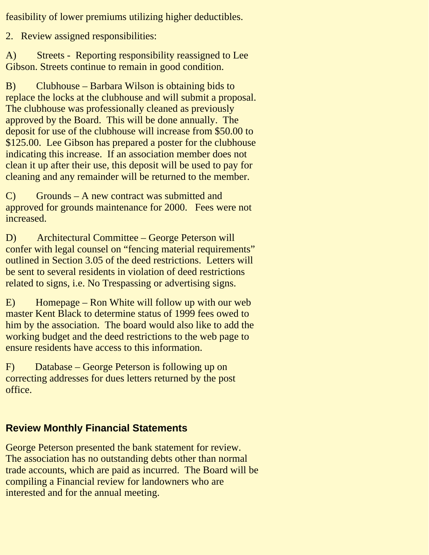feasibility of lower premiums utilizing higher deductibles.

2. Review assigned responsibilities:

A) Streets - Reporting responsibility reassigned to Lee Gibson. Streets continue to remain in good condition.

B) Clubhouse – Barbara Wilson is obtaining bids to replace the locks at the clubhouse and will submit a proposal. The clubhouse was professionally cleaned as previously approved by the Board. This will be done annually. The deposit for use of the clubhouse will increase from \$50.00 to \$125.00. Lee Gibson has prepared a poster for the clubhouse indicating this increase. If an association member does not clean it up after their use, this deposit will be used to pay for cleaning and any remainder will be returned to the member.

C) Grounds – A new contract was submitted and approved for grounds maintenance for 2000. Fees were not increased.

D) Architectural Committee – George Peterson will confer with legal counsel on "fencing material requirements" outlined in Section 3.05 of the deed restrictions. Letters will be sent to several residents in violation of deed restrictions related to signs, i.e. No Trespassing or advertising signs.

E) Homepage – Ron White will follow up with our web master Kent Black to determine status of 1999 fees owed to him by the association. The board would also like to add the working budget and the deed restrictions to the web page to ensure residents have access to this information.

F) Database – George Peterson is following up on correcting addresses for dues letters returned by the post office.

## **Review Monthly Financial Statements**

George Peterson presented the bank statement for review. The association has no outstanding debts other than normal trade accounts, which are paid as incurred. The Board will be compiling a Financial review for landowners who are interested and for the annual meeting.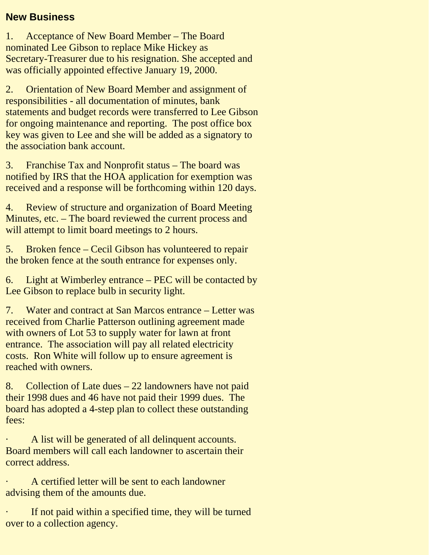#### **New Business**

1. Acceptance of New Board Member – The Board nominated Lee Gibson to replace Mike Hickey as Secretary-Treasurer due to his resignation. She accepted and was officially appointed effective January 19, 2000.

2. Orientation of New Board Member and assignment of responsibilities - all documentation of minutes, bank statements and budget records were transferred to Lee Gibson for ongoing maintenance and reporting. The post office box key was given to Lee and she will be added as a signatory to the association bank account.

3. Franchise Tax and Nonprofit status – The board was notified by IRS that the HOA application for exemption was received and a response will be forthcoming within 120 days.

4. Review of structure and organization of Board Meeting Minutes, etc. – The board reviewed the current process and will attempt to limit board meetings to 2 hours.

5. Broken fence – Cecil Gibson has volunteered to repair the broken fence at the south entrance for expenses only.

6. Light at Wimberley entrance – PEC will be contacted by Lee Gibson to replace bulb in security light.

7. Water and contract at San Marcos entrance – Letter was received from Charlie Patterson outlining agreement made with owners of Lot 53 to supply water for lawn at front entrance. The association will pay all related electricity costs. Ron White will follow up to ensure agreement is reached with owners.

8. Collection of Late dues – 22 landowners have not paid their 1998 dues and 46 have not paid their 1999 dues. The board has adopted a 4-step plan to collect these outstanding fees:

A list will be generated of all delinquent accounts. Board members will call each landowner to ascertain their correct address.

· A certified letter will be sent to each landowner advising them of the amounts due.

If not paid within a specified time, they will be turned over to a collection agency.